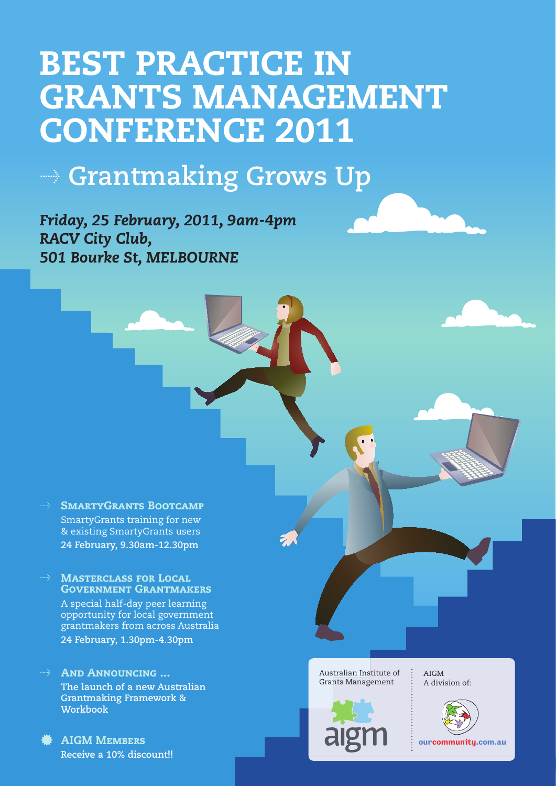# BEST PRACTICE IN GRANTS MANAGEMENT CONFERENCE 2011

## $\rightarrow$  Grantmaking Grows Up

*Friday, 25 February, 2011, 9am-4pm RACV City Club, 501 Bourke St, MELBOURNE*

- **SMARTYGRANTS BOOTCAMP** SmartyGrants training for new & existing SmartyGrants users  **24 February, 9.30am-12.30pm**
- **MASTERCLASS FOR LOCAL** Government Grantmakers A special half-day peer learning opportunity for local government grantmakers from across Australia  **24 February, 1.30pm-4.30pm**
- AND ANNOUNCING ...  **The launch of a new Australian Grantmaking Framework & Workbook**
- $*$  **AIGM MEMBERS Receive a 10% discount!!**

Australian Institute of Grants Management



AIGM A division of:

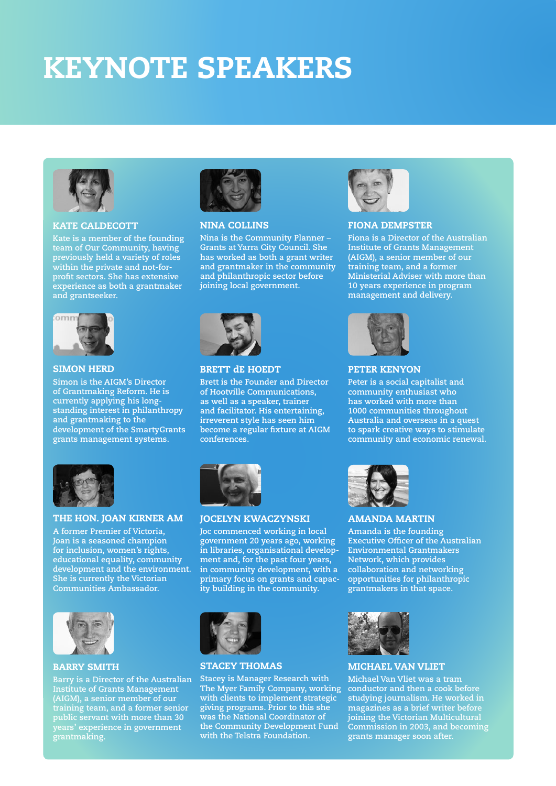# KEYNOTE SPEAKERS



## KATE CALDECOTT

**Kate is a member of the founding team of Our Community, having previously held a variety of roles within the private and not-forprofit sectors. She has extensive experience as both a grantmaker and grantseeker.**



### NINA COLLINS

**Nina is the Community Planner – Grants at Yarra City Council. She has worked as both a grant writer and grantmaker in the community and philanthropic sector before joining local government.** 



## FIONA DEMPSTER

**Fiona is a Director of the Australian Institute of Grants Management (AIGM), a senior member of our training team, and a former Ministerial Adviser with more than 10 years experience in program management and delivery.** 



### SIMON HERD

**Simon is the AIGM's Director of Grantmaking Reform. He is currently applying his longstanding interest in philanthropy and grantmaking to the development of the SmartyGrants grants management systems.**



## BRETT dE HOEDT

**Brett is the Founder and Director of Hootville Communications, as well as a speaker, trainer and facilitator. His entertaining, irreverent style has seen him become a regular fixture at AIGM conferences.** 



#### PETER KENYON

**Peter is a social capitalist and community enthusiast who has worked with more than 1000 communities throughout Australia and overseas in a quest to spark creative ways to stimulate community and economic renewal.**



### THE HON. JOAN KIRNER AM

**A former Premier of Victoria, Joan is a seasoned champion for inclusion, women's rights, educational equality, community development and the environment. She is currently the Victorian Communities Ambassador.** 



## BARRY SMITH

**Barry is a Director of the Australian Institute of Grants Management (AIGM), a senior member of our training team, and a former senior public servant with more than 30 years' experience in government grantmaking.**



## JOCELYN KWACZYNSKI

**Joc commenced working in local government 20 years ago, working in libraries, organisational development and, for the past four years, in community development, with a primary focus on grants and capacity building in the community.** 



#### AMANDA MARTIN

**Amanda is the founding Executive Officer of the Australian Environmental Grantmakers Network, which provides collaboration and networking opportunities for philanthropic grantmakers in that space.**



#### STACEY THOMAS

**Stacey is Manager Research with The Myer Family Company, working with clients to implement strategic giving programs. Prior to this she was the National Coordinator of the Community Development Fund with the Telstra Foundation.** 



### MICHAEL VAN VLIET

**Michael Van Vliet was a tram conductor and then a cook before studying journalism. He worked in magazines as a brief writer before joining the Victorian Multicultural Commission in 2003, and becoming grants manager soon after.**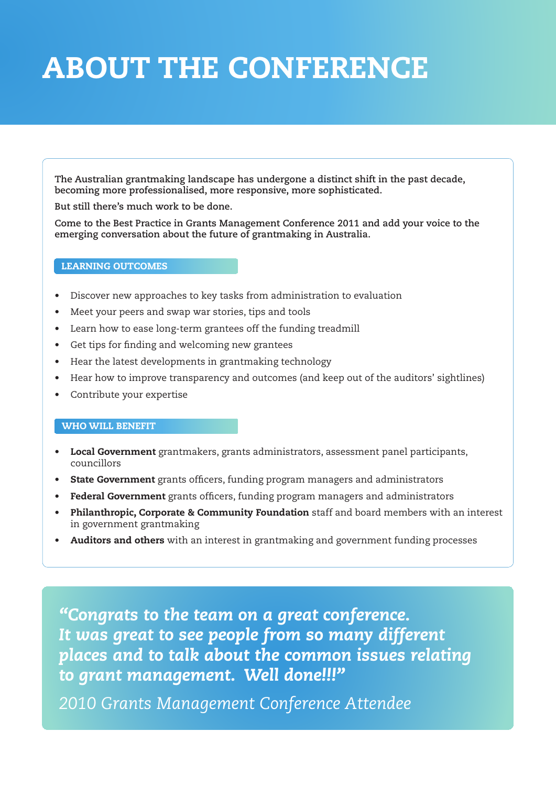# ABOUT THE CONFERENCE

**The Australian grantmaking landscape has undergone a distinct shift in the past decade, becoming more professionalised, more responsive, more sophisticated.** 

**But still there's much work to be done.**

**Come to the Best Practice in Grants Management Conference 2011 and add your voice to the emerging conversation about the future of grantmaking in Australia.** 

## LEARNING OUTCOMES

- Discover new approaches to key tasks from administration to evaluation
- Meet your peers and swap war stories, tips and tools
- Learn how to ease long-term grantees off the funding treadmill
- Get tips for finding and welcoming new grantees
- Hear the latest developments in grantmaking technology
- Hear how to improve transparency and outcomes (and keep out of the auditors' sightlines)
- Contribute your expertise

## WHO WILL BENEFIT

- **Local Government** grantmakers, grants administrators, assessment panel participants, councillors
- State Government grants officers, funding program managers and administrators
- Federal Government grants officers, funding program managers and administrators
- Philanthropic, Corporate & Community Foundation staff and board members with an interest in government grantmaking
- Auditors and others with an interest in grantmaking and government funding processes

*"Congrats to the team on a great conference. It was great to see people from so many different places and to talk about the common issues relating to grant management. Well done!!!"*

*2010 Grants Management Conference Attendee*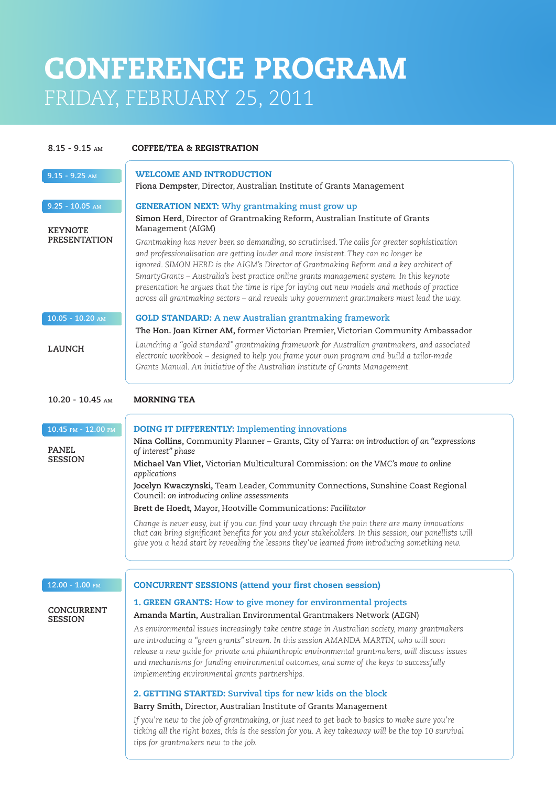## CONFERENCE PROGRAM FRIDAY, FEBRUARY 25, 2011

| $8.15 - 9.15$ AM                      | <b>COFFEE/TEA &amp; REGISTRATION</b>                                                                                                                                                                                                                                                                                                                                                                                                                                                                                                                                          |  |
|---------------------------------------|-------------------------------------------------------------------------------------------------------------------------------------------------------------------------------------------------------------------------------------------------------------------------------------------------------------------------------------------------------------------------------------------------------------------------------------------------------------------------------------------------------------------------------------------------------------------------------|--|
| $9.15 - 9.25$ AM                      | <b>WELCOME AND INTRODUCTION</b>                                                                                                                                                                                                                                                                                                                                                                                                                                                                                                                                               |  |
|                                       | Fiona Dempster, Director, Australian Institute of Grants Management                                                                                                                                                                                                                                                                                                                                                                                                                                                                                                           |  |
| $9.25 - 10.05$ AM                     | <b>GENERATION NEXT:</b> Why grantmaking must grow up                                                                                                                                                                                                                                                                                                                                                                                                                                                                                                                          |  |
| <b>KEYNOTE</b><br><b>PRESENTATION</b> | Simon Herd, Director of Grantmaking Reform, Australian Institute of Grants<br>Management (AIGM)                                                                                                                                                                                                                                                                                                                                                                                                                                                                               |  |
|                                       | Grantmaking has never been so demanding, so scrutinised. The calls for greater sophistication<br>and professionalisation are getting louder and more insistent. They can no longer be<br>ignored. SIMON HERD is the AIGM's Director of Grantmaking Reform and a key architect of<br>SmartyGrants - Australia's best practice online grants management system. In this keynote<br>presentation he argues that the time is ripe for laying out new models and methods of practice<br>across all grantmaking sectors - and reveals why government grantmakers must lead the way. |  |
| $10.05 - 10.20$ AM                    | <b>GOLD STANDARD:</b> A new Australian grantmaking framework<br>The Hon. Joan Kirner AM, former Victorian Premier, Victorian Community Ambassador                                                                                                                                                                                                                                                                                                                                                                                                                             |  |
| <b>LAUNCH</b>                         | Launching a "gold standard" grantmaking framework for Australian grantmakers, and associated<br>electronic workbook - designed to help you frame your own program and build a tailor-made<br>Grants Manual. An initiative of the Australian Institute of Grants Management.                                                                                                                                                                                                                                                                                                   |  |
| $10.20 - 10.45$ AM                    | <b>MORNING TEA</b>                                                                                                                                                                                                                                                                                                                                                                                                                                                                                                                                                            |  |
| $10.45$ PM - $12.00$ PM               | <b>DOING IT DIFFERENTLY: Implementing innovations</b>                                                                                                                                                                                                                                                                                                                                                                                                                                                                                                                         |  |
| <b>PANEL</b><br><b>SESSION</b>        | Nina Collins, Community Planner - Grants, City of Yarra: on introduction of an "expressions<br>of interest" phase<br>Michael Van Vliet, Victorian Multicultural Commission: on the VMC's move to online                                                                                                                                                                                                                                                                                                                                                                       |  |
|                                       | applications                                                                                                                                                                                                                                                                                                                                                                                                                                                                                                                                                                  |  |
|                                       | Jocelyn Kwaczynski, Team Leader, Community Connections, Sunshine Coast Regional<br>Council: on introducing online assessments                                                                                                                                                                                                                                                                                                                                                                                                                                                 |  |
|                                       | Brett de Hoedt, Mayor, Hootville Communications: Facilitator                                                                                                                                                                                                                                                                                                                                                                                                                                                                                                                  |  |
|                                       | Change is never easy, but if you can find your way through the pain there are many innovations<br>that can bring significant benefits for you and your stakeholders. In this session, our panellists will<br>give you a head start by revealing the lessons they've learned from introducing something new.                                                                                                                                                                                                                                                                   |  |
| $12.00 - 1.00$ PM                     | <b>CONCURRENT SESSIONS (attend your first chosen session)</b>                                                                                                                                                                                                                                                                                                                                                                                                                                                                                                                 |  |
| <b>CONCURRENT</b>                     | 1. GREEN GRANTS: How to give money for environmental projects                                                                                                                                                                                                                                                                                                                                                                                                                                                                                                                 |  |
| <b>SESSION</b>                        | Amanda Martin, Australian Environmental Grantmakers Network (AEGN)<br>As environmental issues increasingly take centre stage in Australian society, many grantmakers<br>are introducing a "green grants" stream. In this session AMANDA MARTIN, who will soon<br>release a new quide for private and philanthropic environmental grantmakers, will discuss issues<br>and mechanisms for funding environmental outcomes, and some of the keys to successfully<br>implementing environmental grants partnerships.                                                               |  |
|                                       | 2. GETTING STARTED: Survival tips for new kids on the block                                                                                                                                                                                                                                                                                                                                                                                                                                                                                                                   |  |
|                                       | Barry Smith, Director, Australian Institute of Grants Management                                                                                                                                                                                                                                                                                                                                                                                                                                                                                                              |  |
|                                       | If you're new to the job of grantmaking, or just need to get back to basics to make sure you're<br>ticking all the right boxes, this is the session for you. A key takeaway will be the top 10 survival<br>tips for grantmakers new to the job.                                                                                                                                                                                                                                                                                                                               |  |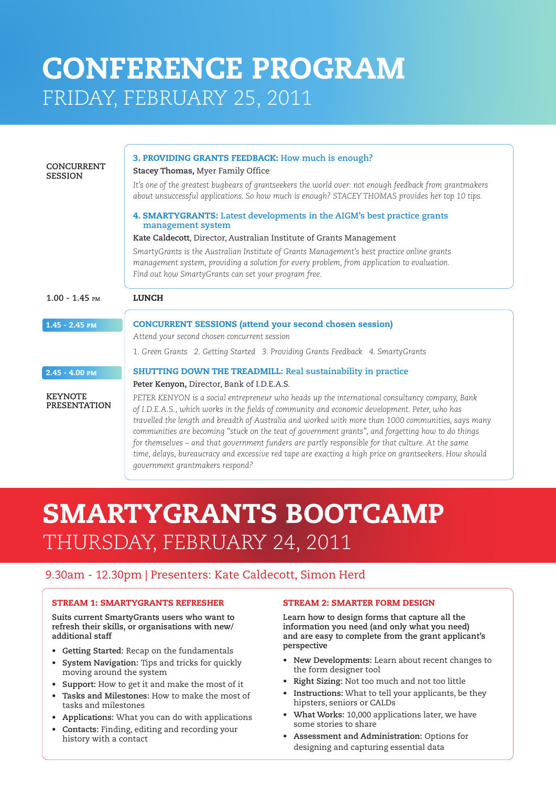## CONFERENCE PROGRAM FRIDAY, FEBRUARY 25, 2011

| <b>CONCURRENT</b><br><b>SESSION</b>   | 3. PROVIDING GRANTS FEEDBACK: How much is enough?<br>Stacey Thomas, Myer Family Office<br>It's one of the greatest bugbears of grantseekers the world over: not enough feedback from grantmakers<br>about unsuccessful applications. So how much is enough? STACEY THOMAS provides her top 10 tips.<br>4. SMARTYGRANTS: Latest developments in the AIGM's best practice grants<br>management system<br>Kate Caldecott, Director, Australian Institute of Grants Management<br>SmartyGrants is the Australian Institute of Grants Management's best practice online grants<br>management system, providing a solution for every problem, from application to evaluation.<br>Find out how SmartyGrants can set your program free. |  |
|---------------------------------------|---------------------------------------------------------------------------------------------------------------------------------------------------------------------------------------------------------------------------------------------------------------------------------------------------------------------------------------------------------------------------------------------------------------------------------------------------------------------------------------------------------------------------------------------------------------------------------------------------------------------------------------------------------------------------------------------------------------------------------|--|
| $1.00 - 1.45$ PM                      | <b>LUNCH</b>                                                                                                                                                                                                                                                                                                                                                                                                                                                                                                                                                                                                                                                                                                                    |  |
| $1.45 - 2.45$ PM                      | <b>CONCURRENT SESSIONS (attend your second chosen session)</b><br>Attend your second chosen concurrent session<br>1. Green Grants 2. Getting Started 3. Providing Grants Feedback 4. SmartyGrants                                                                                                                                                                                                                                                                                                                                                                                                                                                                                                                               |  |
| $2.45 - 4.00$ PM                      | <b>SHUTTING DOWN THE TREADMILL: Real sustainability in practice</b>                                                                                                                                                                                                                                                                                                                                                                                                                                                                                                                                                                                                                                                             |  |
| <b>KEYNOTE</b><br><b>PRESENTATION</b> | Peter Kenyon, Director, Bank of I.D.E.A.S.<br>PETER KENYON is a social entrepreneur who heads up the international consultancy company, Bank<br>of I.D.E.A.S., which works in the fields of community and economic development. Peter, who has<br>travelled the length and breadth of Australia and worked with more than 1000 communities, says many<br>communities are becoming "stuck on the teat of government grants", and forgetting how to do things<br>for themselves - and that government funders are partly responsible for that culture. At the same<br>time, delays, bureaucracy and excessive red tape are exacting a high price on grantseekers. How should<br>government grantmakers respond?                   |  |

## SMARTYGRANTS BOOTCAMP THURSDAY, FEBRUARY 24, 2011

## 9.30am - 12.30pm | Presenters: Kate Caldecott, Simon Herd

## STREAM 1: SMARTYGRANTS REFRESHER

**Suits current SmartyGrants users who want to refresh their skills, or organisations with new/ additional staff**

- Getting Started: Recap on the fundamentals
- **System Navigation:** Tips and tricks for quickly moving around the system
- Support: How to get it and make the most of it
- Tasks and Milestones: How to make the most of tasks and milestones
- **Applications:** What you can do with applications
- Contacts: Finding, editing and recording your history with a contact

## STREAM 2: SMARTER FORM DESIGN

**Learn how to design forms that capture all the information you need (and only what you need) and are easy to complete from the grant applicant's perspective** 

- **New Developments:** Learn about recent changes to the form designer tool
- • **Right Sizing:** Not too much and not too little
- Instructions: What to tell your applicants, be they hipsters, seniors or CALDs
- What Works: 10,000 applications later, we have some stories to share
- Assessment and Administration: Options for designing and capturing essential data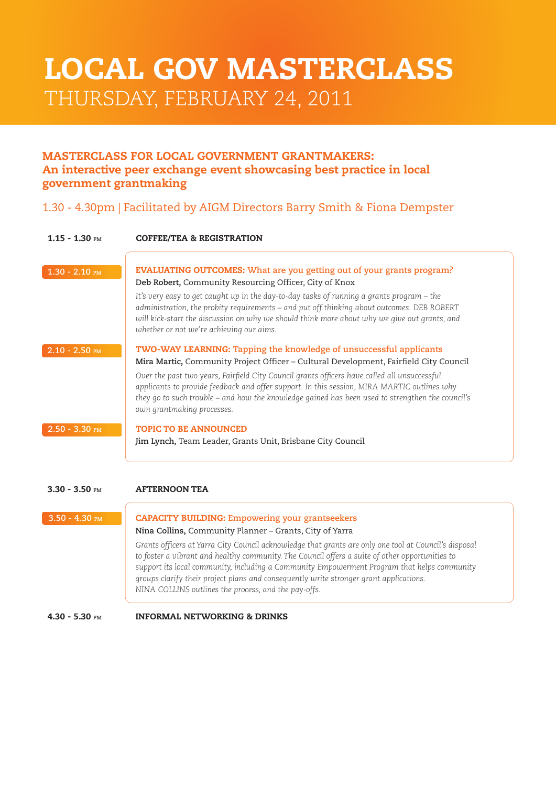## LOCAL GOV MASTERCLASS THURSDAY, FEBRUARY 24, 2011

## MASTERCLASS FOR LOCAL GOVERNMENT GRANTMAKERS: An interactive peer exchange event showcasing best practice in local government grantmaking

## 1.30 - 4.30pm | Facilitated by AIGM Directors Barry Smith & Fiona Dempster

| $1.15 - 1.30$ PM | <b>COFFEE/TEA &amp; REGISTRATION</b>                                                                                                                                                                                                                                                                                                                                                                                                                                                                |  |
|------------------|-----------------------------------------------------------------------------------------------------------------------------------------------------------------------------------------------------------------------------------------------------------------------------------------------------------------------------------------------------------------------------------------------------------------------------------------------------------------------------------------------------|--|
| $1.30 - 2.10$ PM | <b>EVALUATING OUTCOMES:</b> What are you getting out of your grants program?<br>Deb Robert, Community Resourcing Officer, City of Knox<br>It's very easy to get caught up in the day-to-day tasks of running a grants program – the<br>administration, the probity requirements – and put off thinking about outcomes. DEB ROBERT<br>will kick-start the discussion on why we should think more about why we give out grants, and<br>whether or not we're achieving our aims.                       |  |
| $2.10 - 2.50$ PM | <b>TWO-WAY LEARNING:</b> Tapping the knowledge of unsuccessful applicants<br>Mira Martic, Community Project Officer – Cultural Development, Fairfield City Council<br>Over the past two years, Fairfield City Council grants officers have called all unsuccessful<br>applicants to provide feedback and offer support. In this session, MIRA MARTIC outlines why<br>they go to such trouble – and how the knowledge gained has been used to strengthen the council's<br>own grantmaking processes. |  |
| $2.50 - 3.30$ PM | <b>TOPIC TO BE ANNOUNCED</b><br>Jim Lynch, Team Leader, Grants Unit, Brisbane City Council                                                                                                                                                                                                                                                                                                                                                                                                          |  |

#### 3.30 - 3.50 **Pm** AFTERNOON TEA

 $\sqrt{2}$ 

| $3.50 - 4.30$ PM | <b>CAPACITY BUILDING: Empowering your grantseekers</b><br>Nina Collins, Community Planner - Grants, City of Yarra                                                                                                                                                                                                                                                                                                                                         |
|------------------|-----------------------------------------------------------------------------------------------------------------------------------------------------------------------------------------------------------------------------------------------------------------------------------------------------------------------------------------------------------------------------------------------------------------------------------------------------------|
|                  | Grants officers at Yarra City Council acknowledge that grants are only one tool at Council's disposal<br>to foster a vibrant and healthy community. The Council offers a suite of other opportunities to<br>support its local community, including a Community Empowerment Program that helps community<br>groups clarify their project plans and consequently write stronger grant applications.<br>NINA COLLINS outlines the process, and the pay-offs. |
|                  |                                                                                                                                                                                                                                                                                                                                                                                                                                                           |

4.30 - 5.30 **Pm** INFORMAL NETWORKING & DRINKS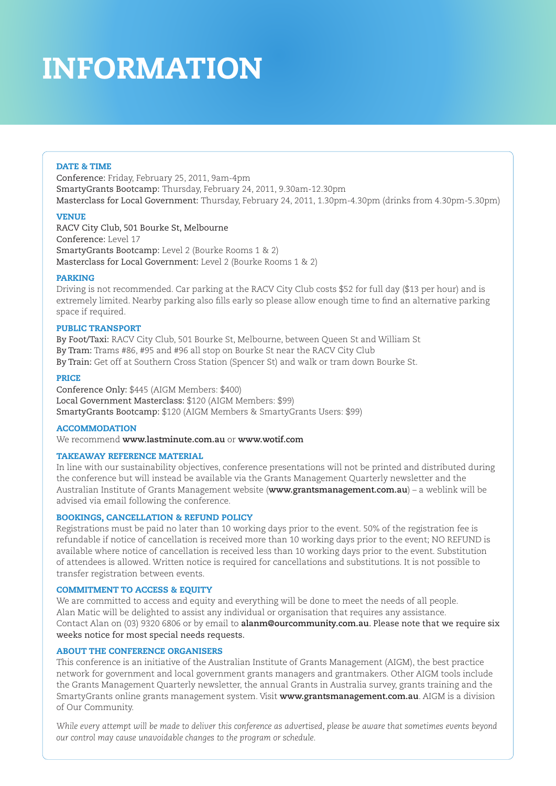# INFORMATION

## DATE & TIME

Conference: Friday, February 25, 2011, 9am-4pm SmartyGrants Bootcamp: Thursday, February 24, 2011, 9.30am-12.30pm Masterclass for Local Government: Thursday, February 24, 2011, 1.30pm-4.30pm (drinks from 4.30pm-5.30pm)

## **VENUE**

RACV City Club, 501 Bourke St, Melbourne Conference: Level 17 SmartyGrants Bootcamp: Level 2 (Bourke Rooms 1 & 2) Masterclass for Local Government: Level 2 (Bourke Rooms 1 & 2)

## PARKING

Driving is not recommended. Car parking at the RACV City Club costs \$52 for full day (\$13 per hour) and is extremely limited. Nearby parking also fills early so please allow enough time to find an alternative parking space if required.

## PUBLIC TRANSPORT

By Foot/Taxi: RACV City Club, 501 Bourke St, Melbourne, between Queen St and William St By Tram: Trams #86, #95 and #96 all stop on Bourke St near the RACV City Club By Train: Get off at Southern Cross Station (Spencer St) and walk or tram down Bourke St.

## PRICE

Conference Only: \$445 (AIGM Members: \$400) Local Government Masterclass: \$120 (AIGM Members: \$99) SmartyGrants Bootcamp: \$120 (AIGM Members & SmartyGrants Users: \$99)

## ACCOMMODATION

We recommend **www.lastminute.com.au** or **www.wotif.com** 

## TAKEAWAY REFERENCE MATERIAL

In line with our sustainability objectives, conference presentations will not be printed and distributed during the conference but will instead be available via the Grants Management Quarterly newsletter and the Australian Institute of Grants Management website (**www.grantsmanagement.com.au**) – a weblink will be advised via email following the conference.

## BOOKINGS, CANCELLATION & REFUND POLICY

Registrations must be paid no later than 10 working days prior to the event. 50% of the registration fee is refundable if notice of cancellation is received more than 10 working days prior to the event; NO REFUND is available where notice of cancellation is received less than 10 working days prior to the event. Substitution of attendees is allowed. Written notice is required for cancellations and substitutions. It is not possible to transfer registration between events.

### COMMITMENT TO ACCESS & EQUITY

We are committed to access and equity and everything will be done to meet the needs of all people. Alan Matic will be delighted to assist any individual or organisation that requires any assistance. Contact Alan on (03) 9320 6806 or by email to **alanm@ourcommunity.com.au**. Please note that we require six weeks notice for most special needs requests.

## ABOUT THE CONFERENCE ORGANISERS

This conference is an initiative of the Australian Institute of Grants Management (AIGM), the best practice network for government and local government grants managers and grantmakers. Other AIGM tools include the Grants Management Quarterly newsletter, the annual Grants in Australia survey, grants training and the SmartyGrants online grants management system. Visit **www.grantsmanagement.com.au**. AIGM is a division of Our Community.

*While every attempt will be made to deliver this conference as advertised, please be aware that sometimes events beyond our control may cause unavoidable changes to the program or schedule.*